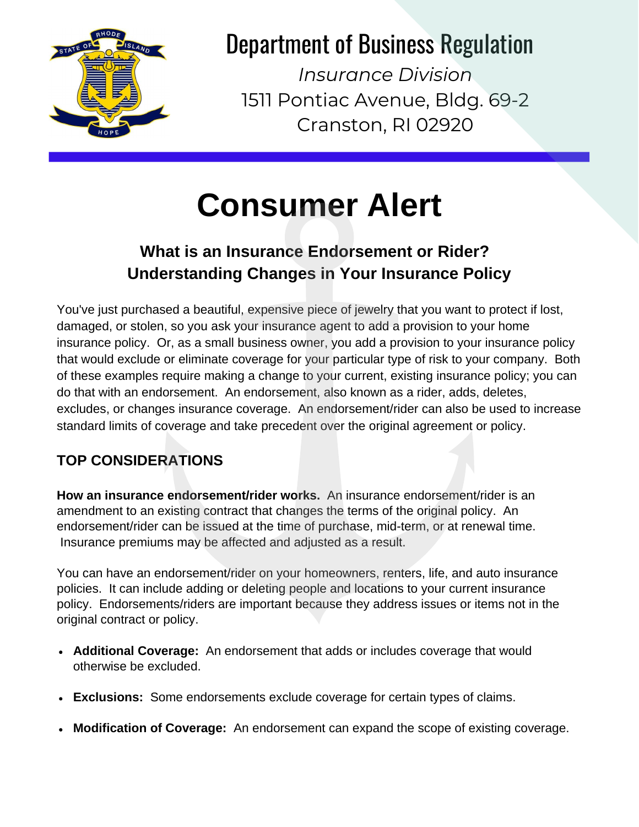

# Department of Business Regulation

*Insurance Division* 1511 Pontiac Avenue, Bldg. 69-2 Cranston, RI 02920

# **Consumer Alert**

## **What is an Insurance Endorsement or Rider? Understanding Changes in Your Insurance Policy**

You've just purchased a beautiful, expensive piece of jewelry that you want to protect if lost, damaged, or stolen, so you ask your insurance agent to add a provision to your home insurance policy. Or, as a small business owner, you add a provision to your insurance policy that would exclude or eliminate coverage for your particular type of risk to your company. Both of these examples require making a change to your current, existing insurance policy; you can do that with an endorsement. An endorsement, also known as a rider, adds, deletes, excludes, or changes insurance coverage. An endorsement/rider can also be used to increase standard limits of coverage and take precedent over the original agreement or policy.

### **TOP CONSIDERATIONS**

**How an insurance endorsement/rider works.** An insurance endorsement/rider is an amendment to an existing contract that changes the terms of the original policy. An endorsement/rider can be issued at the time of purchase, mid-term, or at renewal time. Insurance premiums may be affected and adjusted as a result.

You can have an endorsement/rider on your homeowners, renters, life, and auto insurance policies. It can include adding or deleting people and locations to your current insurance policy. Endorsements/riders are important because they address issues or items not in the original contract or policy.

- **Additional Coverage:** An endorsement that adds or includes coverage that would otherwise be excluded.
- **Exclusions:** Some endorsements exclude coverage for certain types of claims.
- **Modification of Coverage:** An endorsement can expand the scope of existing coverage.